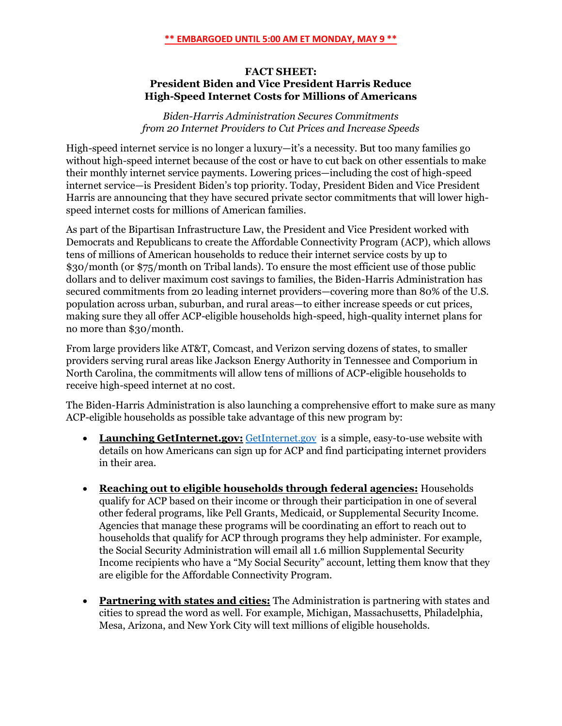## **FACT SHEET: President Biden and Vice President Harris Reduce High-Speed Internet Costs for Millions of Americans**

*Biden-Harris Administration Secures Commitments from 20 Internet Providers to Cut Prices and Increase Speeds*

High-speed internet service is no longer a luxury—it's a necessity. But too many families go without high-speed internet because of the cost or have to cut back on other essentials to make their monthly internet service payments. Lowering prices—including the cost of high-speed internet service—is President Biden's top priority. Today, President Biden and Vice President Harris are announcing that they have secured private sector commitments that will lower highspeed internet costs for millions of American families.

As part of the Bipartisan Infrastructure Law, the President and Vice President worked with Democrats and Republicans to create the Affordable Connectivity Program (ACP), which allows tens of millions of American households to reduce their internet service costs by up to \$30/month (or \$75/month on Tribal lands). To ensure the most efficient use of those public dollars and to deliver maximum cost savings to families, the Biden-Harris Administration has secured commitments from 20 leading internet providers—covering more than 80% of the U.S. population across urban, suburban, and rural areas—to either increase speeds or cut prices, making sure they all offer ACP-eligible households high-speed, high-quality internet plans for no more than \$30/month.

From large providers like AT&T, Comcast, and Verizon serving dozens of states, to smaller providers serving rural areas like Jackson Energy Authority in Tennessee and Comporium in North Carolina, the commitments will allow tens of millions of ACP-eligible households to receive high-speed internet at no cost.

The Biden-Harris Administration is also launching a comprehensive effort to make sure as many ACP-eligible households as possible take advantage of this new program by:

- **Launching GetInternet.gov:** [GetInternet.gov](http://www.getinternet.gov/) is a simple, easy-to-use website with details on how Americans can sign up for ACP and find participating internet providers in their area.
- **Reaching out to eligible households through federal agencies:** Households qualify for ACP based on their income or through their participation in one of several other federal programs, like Pell Grants, Medicaid, or Supplemental Security Income. Agencies that manage these programs will be coordinating an effort to reach out to households that qualify for ACP through programs they help administer. For example, the Social Security Administration will email all 1.6 million Supplemental Security Income recipients who have a "My Social Security" account, letting them know that they are eligible for the Affordable Connectivity Program.
- **Partnering with states and cities:** The Administration is partnering with states and cities to spread the word as well. For example, Michigan, Massachusetts, Philadelphia, Mesa, Arizona, and New York City will text millions of eligible households.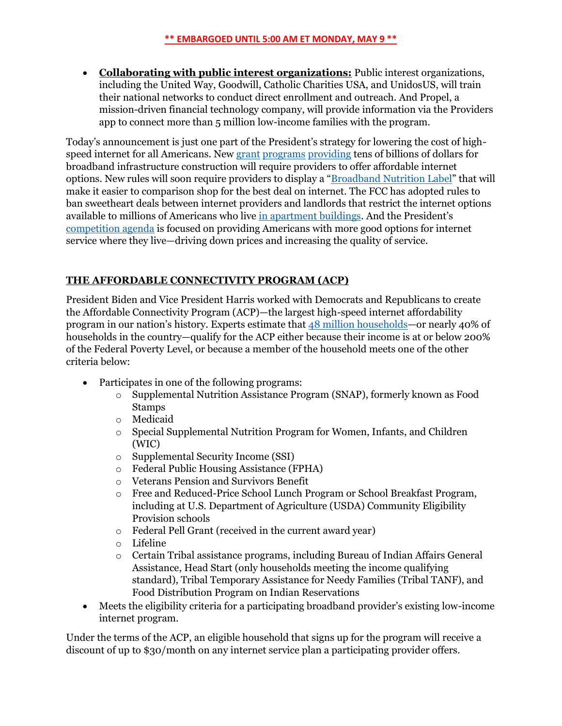• **Collaborating with public interest organizations:** Public interest organizations, including the United Way, Goodwill, Catholic Charities USA, and UnidosUS, will train their national networks to conduct direct enrollment and outreach. And Propel, a mission-driven financial technology company, will provide information via the Providers app to connect more than 5 million low-income families with the program.

Today's announcement is just one part of the President's strategy for lowering the cost of highspeed internet for all Americans. New [grant](https://www.ntia.doc.gov/category/grants) [programs](https://home.treasury.gov/policy-issues/coronavirus/assistance-for-state-local-and-tribal-governments/capital-projects-fund#:~:text=The%20American%20Rescue%20Plan%20provides,to%20the%20public%20health%20emergency.) [providing](https://home.treasury.gov/policy-issues/coronavirus/assistance-for-state-local-and-tribal-governments/state-and-local-fiscal-recovery-funds) tens of billions of dollars for broadband infrastructure construction will require providers to offer affordable internet options. New rules will soon require providers to display a "[Broadband Nutrition Label](https://www.fcc.gov/document/fcc-acts-empower-broadband-consumers-through-transparency-0)" that will make it easier to comparison shop for the best deal on internet. The FCC has adopted rules to ban sweetheart deals between internet providers and landlords that restrict the internet options available to millions of Americans who live [in apartment buildings](https://www.fcc.gov/document/fcc-acts-increase-broadband-competition-apartment-buildings-0). And the President's [competition agenda](https://www.whitehouse.gov/competition/) is focused on providing Americans with more good options for internet service where they live—driving down prices and increasing the quality of service.

## **THE AFFORDABLE CONNECTIVITY PROGRAM (ACP)**

President Biden and Vice President Harris worked with Democrats and Republicans to create the Affordable Connectivity Program (ACP)—the largest high-speed internet affordability program in our nation's history. Experts estimate that 48 million [households](https://static1.squarespace.com/static/610831a16c95260dbd68934a/t/6272e30e12eafe18e06dec58/1651696399310/Broadband-Connectivity-Fact-Sheet-CPSP-2022.pdf)—or nearly 40% of households in the country—qualify for the ACP either because their income is at or below 200% of the Federal Poverty Level, or because a member of the household meets one of the other criteria below:

- Participates in one of the following programs:
	- o Supplemental Nutrition Assistance Program (SNAP), formerly known as Food Stamps
	- o Medicaid
	- o Special Supplemental Nutrition Program for Women, Infants, and Children (WIC)
	- o Supplemental Security Income (SSI)
	- o Federal Public Housing Assistance (FPHA)
	- o Veterans Pension and Survivors Benefit
	- o Free and Reduced-Price School Lunch Program or School Breakfast Program, including at U.S. Department of Agriculture (USDA) Community Eligibility Provision schools
	- o Federal Pell Grant (received in the current award year)
	- o Lifeline
	- o Certain Tribal assistance programs, including Bureau of Indian Affairs General Assistance, Head Start (only households meeting the income qualifying standard), Tribal Temporary Assistance for Needy Families (Tribal TANF), and Food Distribution Program on Indian Reservations
- Meets the eligibility criteria for a participating broadband provider's existing low-income internet program.

Under the terms of the ACP, an eligible household that signs up for the program will receive a discount of up to \$30/month on any internet service plan a participating provider offers.